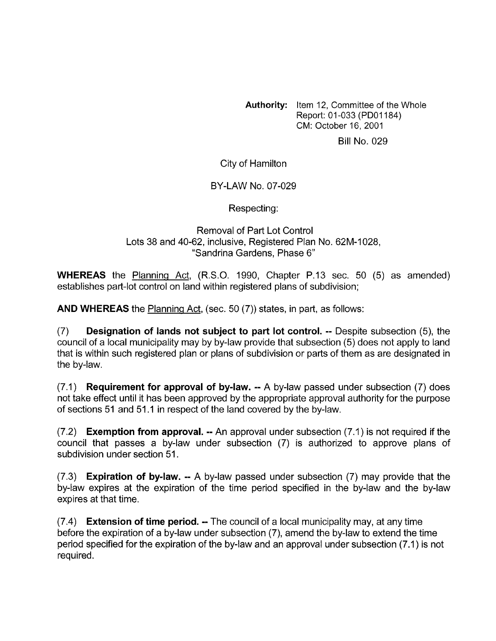**Authority:** Item 12, Committee of the Whole Report: 01 -033 (PDOl184) CM: October 16, 2001

Bill No. 029

City of Hamilton

BY-LAW NO. 07-029

Respecting:

Removal of Part Lot Control Lots 38 and 40-62, inclusive, Registered Plan No. 62M-1028, "Sandrina Gardens, Phase 6"

**WHEREAS** the Planning Act, (R.S.O. 1990, Chapter P.13 sec. 50 (5) as amended) establishes part-lot control on land within registered plans of subdivision;

**AND WHEREAS** the Planning Act, (sec. 50 (7)) states, in part, as follows:

(7) **Designation of lands not subject to part lot control.** -- Despite subsection (5), the council of a local municipality may by by-law provide that subsection (5) does not apply to land that is within such registered plan or plans of subdivision or parts of them as are designated in the by-law.

(7.1) **Requirement for approval of by-law.** -- A by-law passed under subsection (7) does not take effect until it has been approved by the appropriate approval authority for the purpose of sections 51 and 51 .I in respect of the land covered by the by-law.

(7.2) **Exemption from approval.** -- An approval under subsection (7.1) is not required if the council that passes a by-law under subsection (7) is authorized to approve plans of subdivision under section 51.

(7.3) **Expiration of by-law.** -- A by-law passed under subsection (7) may provide that the by-law expires at the expiration of the time period specified in the by-law and the by-law expires at that time.

(7.4) **Extension of time period.** -- The council of a local municipality may, at any time before the expiration of a by-law under subsection (7), amend the by-law to extend the time period specified for the expiration of the by-law and an approval under subsection (7.1) is not required.